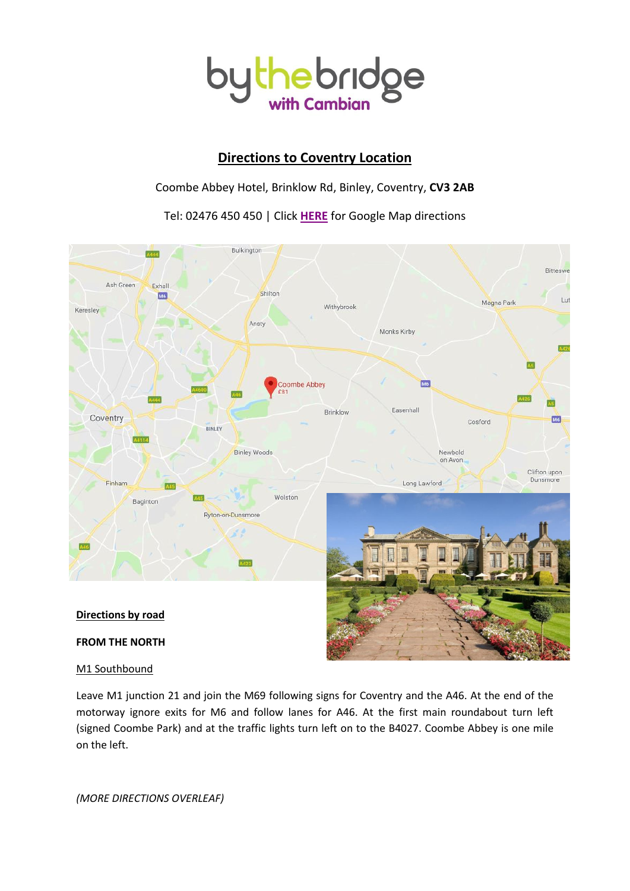

# **Directions to Coventry Location**

### Coombe Abbey Hotel, Brinklow Rd, Binley, Coventry, **CV3 2AB**

Tel: 02476 450 450 | Click **[HERE](https://www.google.co.uk/maps/dir/)** for Google Map directions



## M1 Southbound

Leave M1 junction 21 and join the M69 following signs for Coventry and the A46. At the end of the motorway ignore exits for M6 and follow lanes for A46. At the first main roundabout turn left (signed Coombe Park) and at the traffic lights turn left on to the B4027. Coombe Abbey is one mile on the left.

*(MORE DIRECTIONS OVERLEAF)*